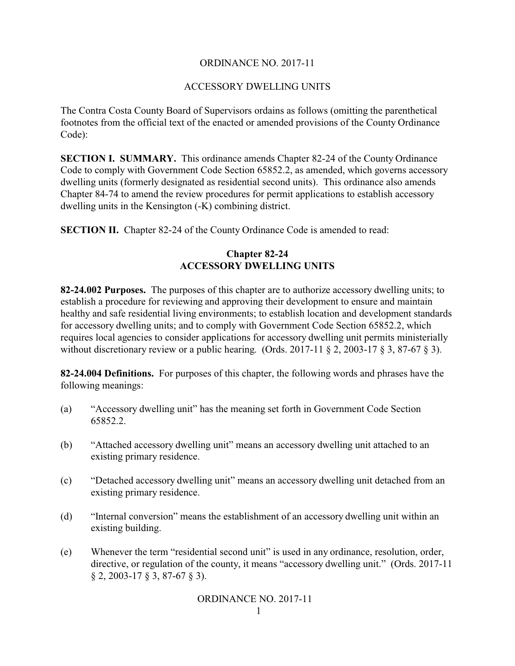### ORDINANCE NO. 2017-11

#### ACCESSORY DWELLING UNITS

The Contra Costa County Board of Supervisors ordains as follows (omitting the parenthetical footnotes from the official text of the enacted or amended provisions of the County Ordinance Code):

**SECTION I. SUMMARY.** This ordinance amends Chapter 82-24 of the County Ordinance Code to comply with Government Code Section 65852.2, as amended, which governs accessory dwelling units (formerly designated as residential second units). This ordinance also amends Chapter 84-74 to amend the review procedures for permit applications to establish accessory dwelling units in the Kensington (-K) combining district.

**SECTION II.** Chapter 82-24 of the County Ordinance Code is amended to read:

## **Chapter 82-24 ACCESSORY DWELLING UNITS**

**82-24.002 Purposes.** The purposes of this chapter are to authorize accessory dwelling units; to establish a procedure for reviewing and approving their development to ensure and maintain healthy and safe residential living environments; to establish location and development standards for accessory dwelling units; and to comply with Government Code Section 65852.2, which requires local agencies to consider applications for accessory dwelling unit permits ministerially without discretionary review or a public hearing. (Ords. 2017-11  $\S 2$ , 2003-17  $\S 3$ , 87-67  $\S 3$ ).

**82-24.004 Definitions.** For purposes of this chapter, the following words and phrases have the following meanings:

- (a) "Accessory dwelling unit" has the meaning set forth in Government Code Section 65852.2.
- (b) "Attached accessory dwelling unit" means an accessory dwelling unit attached to an existing primary residence.
- (c) "Detached accessory dwelling unit" means an accessory dwelling unit detached from an existing primary residence.
- (d) "Internal conversion" means the establishment of an accessory dwelling unit within an existing building.
- (e) Whenever the term "residential second unit" is used in any ordinance, resolution, order, directive, or regulation of the county, it means "accessory dwelling unit." (Ords. 2017-11 § 2, 2003-17 § 3, 87-67 § 3).

### ORDINANCE NO. 2017-11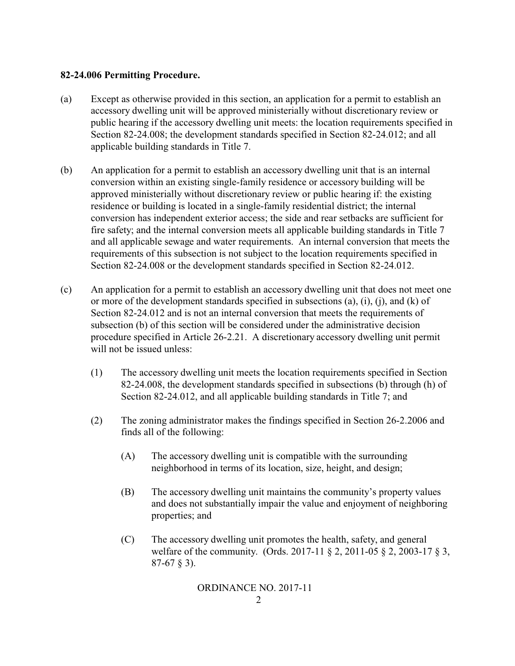#### **82-24.006 Permitting Procedure.**

- (a) Except as otherwise provided in this section, an application for a permit to establish an accessory dwelling unit will be approved ministerially without discretionary review or public hearing if the accessory dwelling unit meets: the location requirements specified in Section 82-24.008; the development standards specified in Section 82-24.012; and all applicable building standards in Title 7.
- (b) An application for a permit to establish an accessory dwelling unit that is an internal conversion within an existing single-family residence or accessory building will be approved ministerially without discretionary review or public hearing if: the existing residence or building is located in a single-family residential district; the internal conversion has independent exterior access; the side and rear setbacks are sufficient for fire safety; and the internal conversion meets all applicable building standards in Title 7 and all applicable sewage and water requirements. An internal conversion that meets the requirements of this subsection is not subject to the location requirements specified in Section 82-24.008 or the development standards specified in Section 82-24.012.
- (c) An application for a permit to establish an accessory dwelling unit that does not meet one or more of the development standards specified in subsections (a), (i), (j), and (k) of Section 82-24.012 and is not an internal conversion that meets the requirements of subsection (b) of this section will be considered under the administrative decision procedure specified in Article 26-2.21. A discretionary accessory dwelling unit permit will not be issued unless:
	- (1) The accessory dwelling unit meets the location requirements specified in Section 82-24.008, the development standards specified in subsections (b) through (h) of Section 82-24.012, and all applicable building standards in Title 7; and
	- (2) The zoning administrator makes the findings specified in Section 26-2.2006 and finds all of the following:
		- (A) The accessory dwelling unit is compatible with the surrounding neighborhood in terms of its location, size, height, and design;
		- (B) The accessory dwelling unit maintains the community's property values and does not substantially impair the value and enjoyment of neighboring properties; and
		- (C) The accessory dwelling unit promotes the health, safety, and general welfare of the community. (Ords. 2017-11 § 2, 2011-05 § 2, 2003-17 § 3, 87-67 § 3).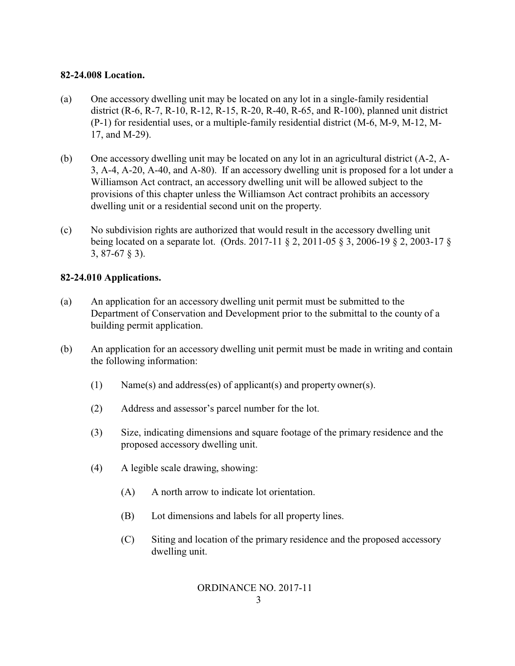## **82-24.008 Location.**

- (a) One accessory dwelling unit may be located on any lot in a single-family residential district (R-6, R-7, R-10, R-12, R-15, R-20, R-40, R-65, and R-100), planned unit district (P-1) for residential uses, or a multiple-family residential district (M-6, M-9, M-12, M-17, and M-29).
- (b) One accessory dwelling unit may be located on any lot in an agricultural district (A-2, A-3, A-4, A-20, A-40, and A-80). If an accessory dwelling unit is proposed for a lot under a Williamson Act contract, an accessory dwelling unit will be allowed subject to the provisions of this chapter unless the Williamson Act contract prohibits an accessory dwelling unit or a residential second unit on the property.
- (c) No subdivision rights are authorized that would result in the accessory dwelling unit being located on a separate lot. (Ords. 2017-11 § 2, 2011-05 § 3, 2006-19 § 2, 2003-17 § 3, 87-67 § 3).

## **82-24.010 Applications.**

- (a) An application for an accessory dwelling unit permit must be submitted to the Department of Conservation and Development prior to the submittal to the county of a building permit application.
- (b) An application for an accessory dwelling unit permit must be made in writing and contain the following information:
	- (1) Name(s) and address(es) of applicant(s) and property owner(s).
	- (2) Address and assessor's parcel number for the lot.
	- (3) Size, indicating dimensions and square footage of the primary residence and the proposed accessory dwelling unit.
	- (4) A legible scale drawing, showing:
		- (A) A north arrow to indicate lot orientation.
		- (B) Lot dimensions and labels for all property lines.
		- (C) Siting and location of the primary residence and the proposed accessory dwelling unit.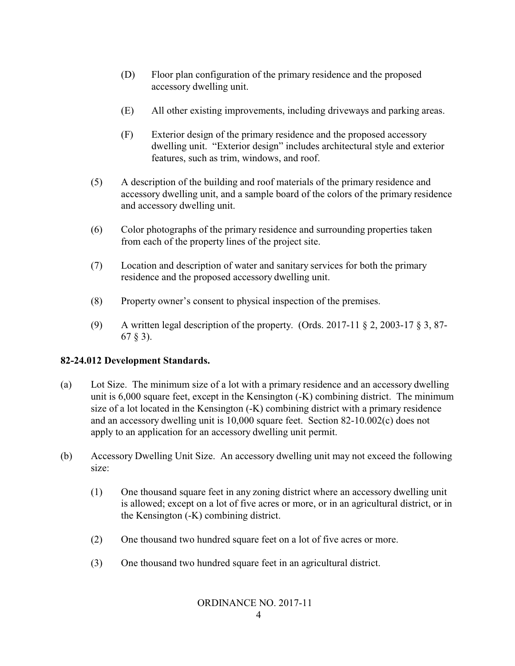- (D) Floor plan configuration of the primary residence and the proposed accessory dwelling unit.
- (E) All other existing improvements, including driveways and parking areas.
- (F) Exterior design of the primary residence and the proposed accessory dwelling unit. "Exterior design" includes architectural style and exterior features, such as trim, windows, and roof.
- (5) A description of the building and roof materials of the primary residence and accessory dwelling unit, and a sample board of the colors of the primary residence and accessory dwelling unit.
- (6) Color photographs of the primary residence and surrounding properties taken from each of the property lines of the project site.
- (7) Location and description of water and sanitary services for both the primary residence and the proposed accessory dwelling unit.
- (8) Property owner's consent to physical inspection of the premises.
- (9) A written legal description of the property. (Ords. 2017-11  $\S$  2, 2003-17  $\S$  3, 87-67 § 3).

# **82-24.012 Development Standards.**

- (a) Lot Size. The minimum size of a lot with a primary residence and an accessory dwelling unit is 6,000 square feet, except in the Kensington (-K) combining district. The minimum size of a lot located in the Kensington (-K) combining district with a primary residence and an accessory dwelling unit is 10,000 square feet. Section 82-10.002(c) does not apply to an application for an accessory dwelling unit permit.
- (b) Accessory Dwelling Unit Size. An accessory dwelling unit may not exceed the following size:
	- (1) One thousand square feet in any zoning district where an accessory dwelling unit is allowed; except on a lot of five acres or more, or in an agricultural district, or in the Kensington (-K) combining district.
	- (2) One thousand two hundred square feet on a lot of five acres or more.
	- (3) One thousand two hundred square feet in an agricultural district.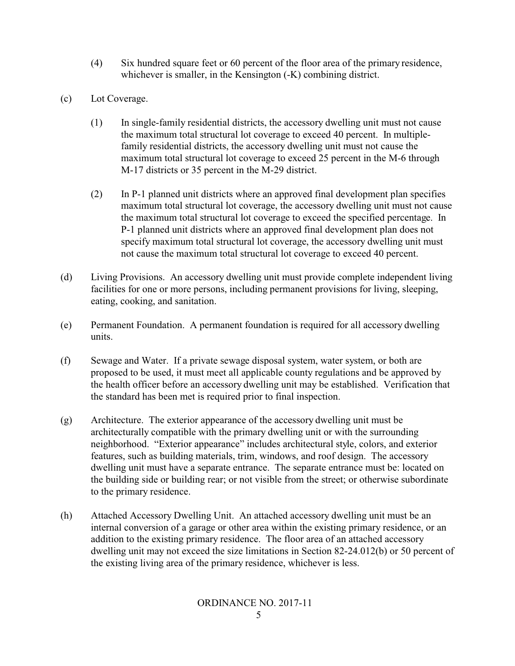- (4) Six hundred square feet or 60 percent of the floor area of the primary residence, whichever is smaller, in the Kensington  $-K$ ) combining district.
- (c) Lot Coverage.
	- (1) In single-family residential districts, the accessory dwelling unit must not cause the maximum total structural lot coverage to exceed 40 percent. In multiplefamily residential districts, the accessory dwelling unit must not cause the maximum total structural lot coverage to exceed 25 percent in the M-6 through M-17 districts or 35 percent in the M-29 district.
	- (2) In P-1 planned unit districts where an approved final development plan specifies maximum total structural lot coverage, the accessory dwelling unit must not cause the maximum total structural lot coverage to exceed the specified percentage. In P-1 planned unit districts where an approved final development plan does not specify maximum total structural lot coverage, the accessory dwelling unit must not cause the maximum total structural lot coverage to exceed 40 percent.
- (d) Living Provisions. An accessory dwelling unit must provide complete independent living facilities for one or more persons, including permanent provisions for living, sleeping, eating, cooking, and sanitation.
- (e) Permanent Foundation. A permanent foundation is required for all accessory dwelling units.
- (f) Sewage and Water. If a private sewage disposal system, water system, or both are proposed to be used, it must meet all applicable county regulations and be approved by the health officer before an accessory dwelling unit may be established. Verification that the standard has been met is required prior to final inspection.
- (g) Architecture. The exterior appearance of the accessory dwelling unit must be architecturally compatible with the primary dwelling unit or with the surrounding neighborhood. "Exterior appearance" includes architectural style, colors, and exterior features, such as building materials, trim, windows, and roof design. The accessory dwelling unit must have a separate entrance. The separate entrance must be: located on the building side or building rear; or not visible from the street; or otherwise subordinate to the primary residence.
- (h) Attached Accessory Dwelling Unit. An attached accessory dwelling unit must be an internal conversion of a garage or other area within the existing primary residence, or an addition to the existing primary residence. The floor area of an attached accessory dwelling unit may not exceed the size limitations in Section 82-24.012(b) or 50 percent of the existing living area of the primary residence, whichever is less.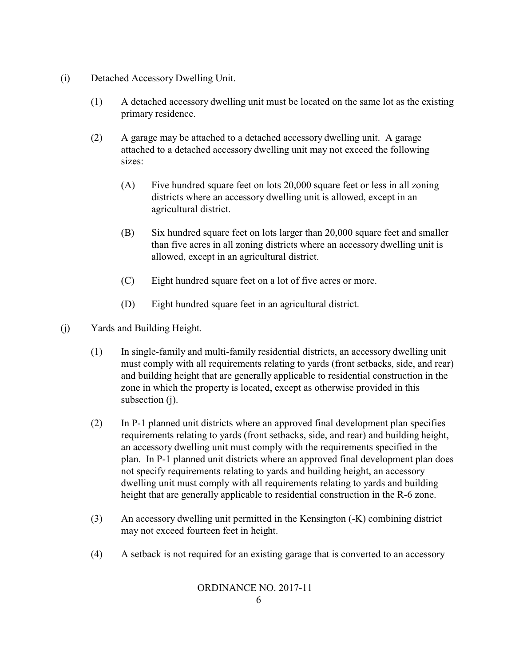- (i) Detached Accessory Dwelling Unit.
	- (1) A detached accessory dwelling unit must be located on the same lot as the existing primary residence.
	- (2) A garage may be attached to a detached accessory dwelling unit. A garage attached to a detached accessory dwelling unit may not exceed the following sizes:
		- (A) Five hundred square feet on lots 20,000 square feet or less in all zoning districts where an accessory dwelling unit is allowed, except in an agricultural district.
		- (B) Six hundred square feet on lots larger than 20,000 square feet and smaller than five acres in all zoning districts where an accessory dwelling unit is allowed, except in an agricultural district.
		- (C) Eight hundred square feet on a lot of five acres or more.
		- (D) Eight hundred square feet in an agricultural district.
- (j) Yards and Building Height.
	- (1) In single-family and multi-family residential districts, an accessory dwelling unit must comply with all requirements relating to yards (front setbacks, side, and rear) and building height that are generally applicable to residential construction in the zone in which the property is located, except as otherwise provided in this subsection (j).
	- (2) In P-1 planned unit districts where an approved final development plan specifies requirements relating to yards (front setbacks, side, and rear) and building height, an accessory dwelling unit must comply with the requirements specified in the plan. In P-1 planned unit districts where an approved final development plan does not specify requirements relating to yards and building height, an accessory dwelling unit must comply with all requirements relating to yards and building height that are generally applicable to residential construction in the R-6 zone.
	- (3) An accessory dwelling unit permitted in the Kensington (-K) combining district may not exceed fourteen feet in height.
	- (4) A setback is not required for an existing garage that is converted to an accessory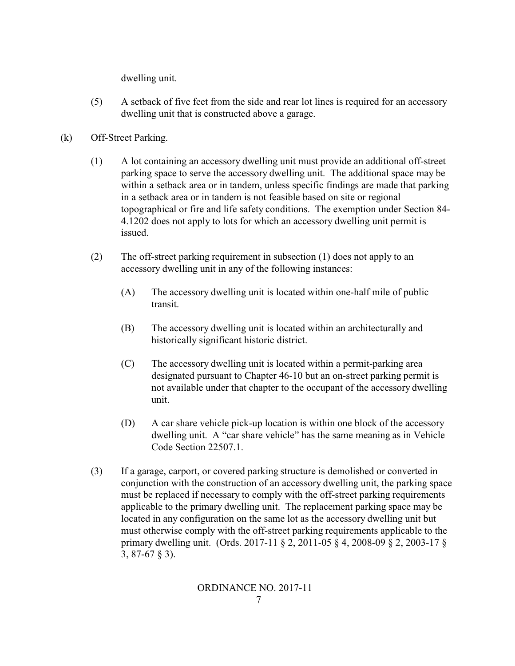dwelling unit.

- (5) A setback of five feet from the side and rear lot lines is required for an accessory dwelling unit that is constructed above a garage.
- (k) Off-Street Parking.
	- (1) A lot containing an accessory dwelling unit must provide an additional off-street parking space to serve the accessory dwelling unit. The additional space may be within a setback area or in tandem, unless specific findings are made that parking in a setback area or in tandem is not feasible based on site or regional topographical or fire and life safety conditions. The exemption under Section 84- 4.1202 does not apply to lots for which an accessory dwelling unit permit is issued.
	- (2) The off-street parking requirement in subsection (1) does not apply to an accessory dwelling unit in any of the following instances:
		- (A) The accessory dwelling unit is located within one-half mile of public transit.
		- (B) The accessory dwelling unit is located within an architecturally and historically significant historic district.
		- (C) The accessory dwelling unit is located within a permit-parking area designated pursuant to Chapter 46-10 but an on-street parking permit is not available under that chapter to the occupant of the accessory dwelling unit.
		- (D) A car share vehicle pick-up location is within one block of the accessory dwelling unit. A "car share vehicle" has the same meaning as in Vehicle Code Section 22507.1.
	- (3) If a garage, carport, or covered parking structure is demolished or converted in conjunction with the construction of an accessory dwelling unit, the parking space must be replaced if necessary to comply with the off-street parking requirements applicable to the primary dwelling unit. The replacement parking space may be located in any configuration on the same lot as the accessory dwelling unit but must otherwise comply with the off-street parking requirements applicable to the primary dwelling unit. (Ords. 2017-11 § 2, 2011-05 § 4, 2008-09 § 2, 2003-17 § 3, 87-67 § 3).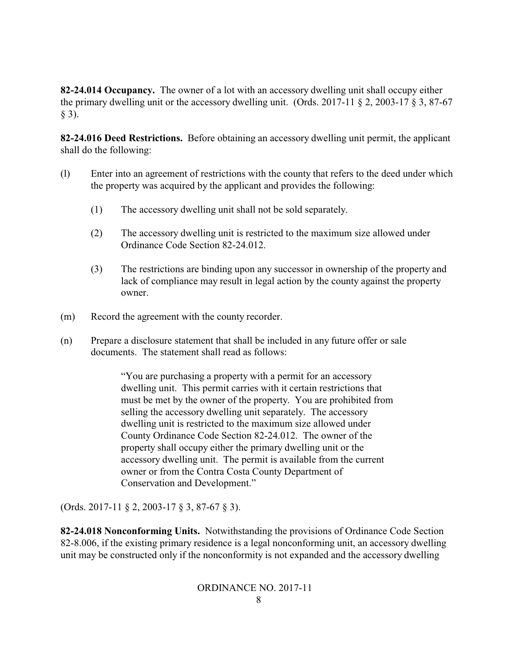**82-24.014 Occupancy.** The owner of a lot with an accessory dwelling unit shall occupy either the primary dwelling unit or the accessory dwelling unit. (Ords. 2017-11 § 2, 2003-17 § 3, 87-67  $§$  3).

**82-24.016 Deed Restrictions.** Before obtaining an accessory dwelling unit permit, the applicant shall do the following:

- (l) Enter into an agreement of restrictions with the county that refers to the deed under which the property was acquired by the applicant and provides the following:
	- (1) The accessory dwelling unit shall not be sold separately.
	- (2) The accessory dwelling unit is restricted to the maximum size allowed under Ordinance Code Section 82-24.012.
	- (3) The restrictions are binding upon any successor in ownership of the property and lack of compliance may result in legal action by the county against the property owner.
- (m) Record the agreement with the county recorder.
- (n) Prepare a disclosure statement that shall be included in any future offer or sale documents. The statement shall read as follows:

"You are purchasing a property with a permit for an accessory dwelling unit. This permit carries with it certain restrictions that must be met by the owner of the property. You are prohibited from selling the accessory dwelling unit separately. The accessory dwelling unit is restricted to the maximum size allowed under County Ordinance Code Section 82-24.012. The owner of the property shall occupy either the primary dwelling unit or the accessory dwelling unit. The permit is available from the current owner or from the Contra Costa County Department of Conservation and Development."

(Ords. 2017-11 § 2, 2003-17 § 3, 87-67 § 3).

**82-24.018 Nonconforming Units.** Notwithstanding the provisions of Ordinance Code Section 82-8.006, if the existing primary residence is a legal nonconforming unit, an accessory dwelling unit may be constructed only if the nonconformity is not expanded and the accessory dwelling

# ORDINANCE NO. 2017-11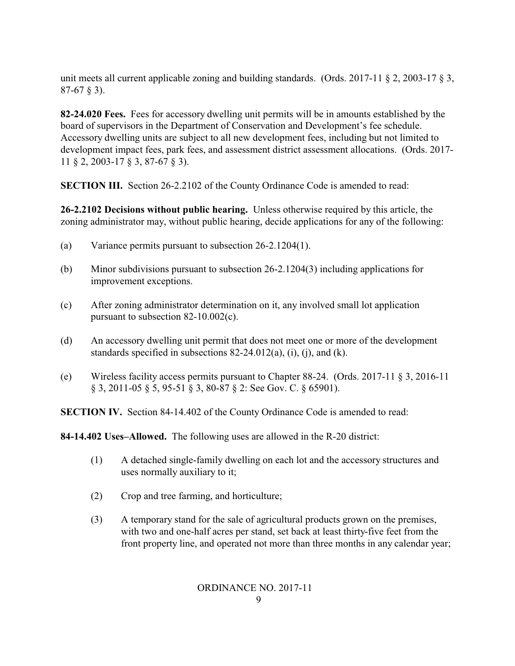unit meets all current applicable zoning and building standards. (Ords. 2017-11 § 2, 2003-17 § 3, 87-67 § 3).

**82-24.020 Fees.** Fees for accessory dwelling unit permits will be in amounts established by the board of supervisors in the Department of Conservation and Development's fee schedule. Accessory dwelling units are subject to all new development fees, including but not limited to development impact fees, park fees, and assessment district assessment allocations. (Ords. 2017- 11 § 2, 2003-17 § 3, 87-67 § 3).

**SECTION III.** Section 26-2.2102 of the County Ordinance Code is amended to read:

**26-2.2102 Decisions without public hearing.** Unless otherwise required by this article, the zoning administrator may, without public hearing, decide applications for any of the following:

- (a) Variance permits pursuant to subsection 26-2.1204(1).
- (b) Minor subdivisions pursuant to subsection 26-2.1204(3) including applications for improvement exceptions.
- (c) After zoning administrator determination on it, any involved small lot application pursuant to subsection 82-10.002(c).
- (d) An accessory dwelling unit permit that does not meet one or more of the development standards specified in subsections  $82-24.012(a)$ , (i), (i), and (k).
- (e) Wireless facility access permits pursuant to Chapter 88-24. (Ords. 2017-11 § 3, 2016-11 § 3, 2011-05 § 5, 95-51 § 3, 80-87 § 2: See Gov. C. § 65901).

**SECTION IV.** Section 84-14.402 of the County Ordinance Code is amended to read:

**84-14.402 Uses–Allowed.** The following uses are allowed in the R-20 district:

- (1) A detached single-family dwelling on each lot and the accessory structures and uses normally auxiliary to it;
- (2) Crop and tree farming, and horticulture;
- (3) A temporary stand for the sale of agricultural products grown on the premises, with two and one-half acres per stand, set back at least thirty-five feet from the front property line, and operated not more than three months in any calendar year;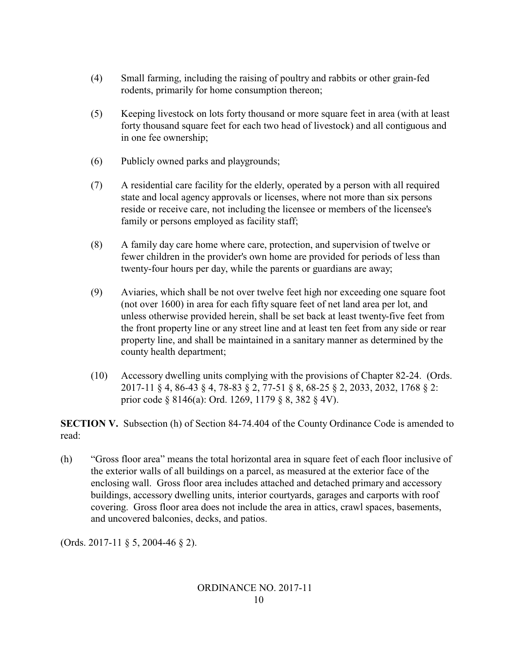- (4) Small farming, including the raising of poultry and rabbits or other grain-fed rodents, primarily for home consumption thereon;
- (5) Keeping livestock on lots forty thousand or more square feet in area (with at least forty thousand square feet for each two head of livestock) and all contiguous and in one fee ownership;
- (6) Publicly owned parks and playgrounds;
- (7) A residential care facility for the elderly, operated by a person with all required state and local agency approvals or licenses, where not more than six persons reside or receive care, not including the licensee or members of the licensee's family or persons employed as facility staff;
- (8) A family day care home where care, protection, and supervision of twelve or fewer children in the provider's own home are provided for periods of less than twenty-four hours per day, while the parents or guardians are away;
- (9) Aviaries, which shall be not over twelve feet high nor exceeding one square foot (not over 1600) in area for each fifty square feet of net land area per lot, and unless otherwise provided herein, shall be set back at least twenty-five feet from the front property line or any street line and at least ten feet from any side or rear property line, and shall be maintained in a sanitary manner as determined by the county health department;
- (10) Accessory dwelling units complying with the provisions of Chapter 82-24. (Ords. 2017-11 § 4, 86-43 § 4, 78-83 § 2, 77-51 § 8, 68-25 § 2, 2033, 2032, 1768 § 2: prior code § 8146(a): Ord. 1269, 1179 § 8, 382 § 4V).

**SECTION V.** Subsection (h) of Section 84-74.404 of the County Ordinance Code is amended to read:

(h) "Gross floor area" means the total horizontal area in square feet of each floor inclusive of the exterior walls of all buildings on a parcel, as measured at the exterior face of the enclosing wall. Gross floor area includes attached and detached primary and accessory buildings, accessory dwelling units, interior courtyards, garages and carports with roof covering. Gross floor area does not include the area in attics, crawl spaces, basements, and uncovered balconies, decks, and patios.

(Ords. 2017-11 § 5, 2004-46 § 2).

## ORDINANCE NO. 2017-11 10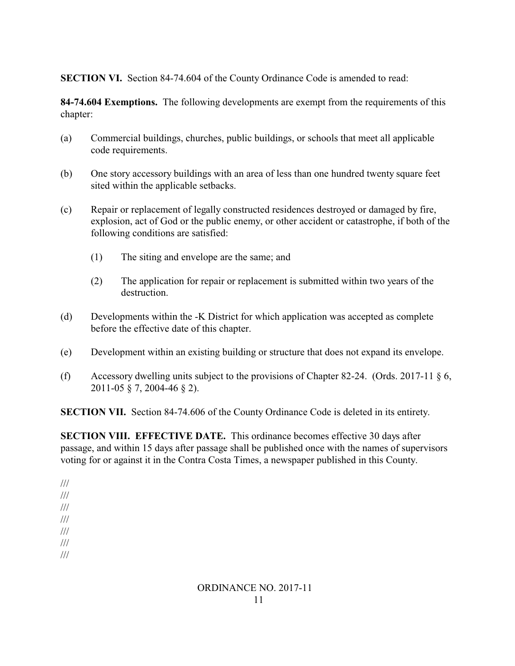**SECTION VI.** Section 84-74.604 of the County Ordinance Code is amended to read:

**84-74.604 Exemptions.** The following developments are exempt from the requirements of this chapter:

- (a) Commercial buildings, churches, public buildings, or schools that meet all applicable code requirements.
- (b) One story accessory buildings with an area of less than one hundred twenty square feet sited within the applicable setbacks.
- (c) Repair or replacement of legally constructed residences destroyed or damaged by fire, explosion, act of God or the public enemy, or other accident or catastrophe, if both of the following conditions are satisfied:
	- (1) The siting and envelope are the same; and
	- (2) The application for repair or replacement is submitted within two years of the destruction.
- (d) Developments within the -K District for which application was accepted as complete before the effective date of this chapter.
- (e) Development within an existing building or structure that does not expand its envelope.
- (f) Accessory dwelling units subject to the provisions of Chapter 82-24. (Ords. 2017-11  $\S$  6, 2011-05 § 7, 2004-46 § 2).

**SECTION VII.** Section 84-74.606 of the County Ordinance Code is deleted in its entirety.

**SECTION VIII. EFFECTIVE DATE.** This ordinance becomes effective 30 days after passage, and within 15 days after passage shall be published once with the names of supervisors voting for or against it in the Contra Costa Times, a newspaper published in this County.

/// /// /// /// /// /// ///

## ORDINANCE NO. 2017-11 11